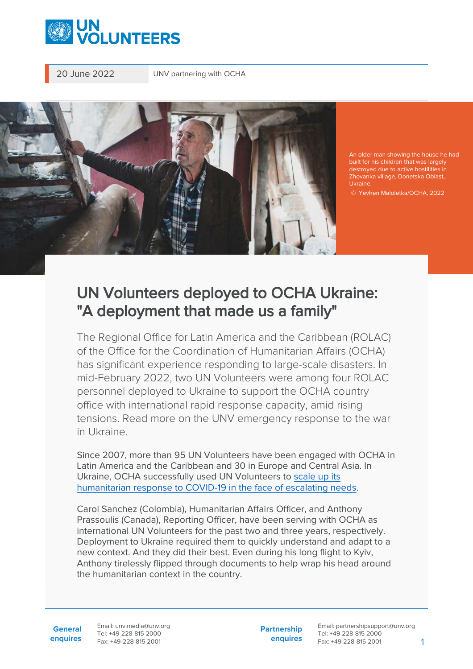

20 June 2022 UNV partnering with OCHA



An older man showing the house he had built for his children that was largely destroyed due to active hostilities in Zhovanka village, Donetska Oblast, Ukraine.

© Yevhen Maloletka/OCHA, 2022

## UN Volunteers deployed to OCHA Ukraine: "A deployment that made us a family"

The Regional Office for Latin America and the Caribbean (ROLAC) of the Office for the Coordination of Humanitarian Affairs (OCHA) has significant experience responding to large-scale disasters. In mid-February 2022, two UN Volunteers were among four ROLAC personnel deployed to Ukraine to support the OCHA country office with international rapid response capacity, amid rising tensions. Read more on the UNV emergency response to the war in Ukraine.

Since 2007, more than 95 UN Volunteers have been engaged with OCHA in Latin America and the Caribbean and 30 in Europe and Central Asia. In Ukraine, OCHA successfully used UN Volunteers to [scale up its](https://www.unv.org/Success-stories/volunteering-support-humanitarian-response-eastern-ukraine-amidst-covid-19-pandemic) [humanitarian response to COVID-19 in the face of escalating needs](https://www.unv.org/Success-stories/volunteering-support-humanitarian-response-eastern-ukraine-amidst-covid-19-pandemic).

Carol Sanchez (Colombia), Humanitarian Affairs Officer, and Anthony Prassoulis (Canada), Reporting Officer, have been serving with OCHA as international UN Volunteers for the past two and three years, respectively. Deployment to Ukraine required them to quickly understand and adapt to a new context. And they did their best. Even during his long flight to Kyiv, Anthony tirelessly flipped through documents to help wrap his head around the humanitarian context in the country.

**General enquires** Email: unv.media@unv.org Tel: +49-228-815 2000 Fax: +49-228-815 2001

**Partnership enquires**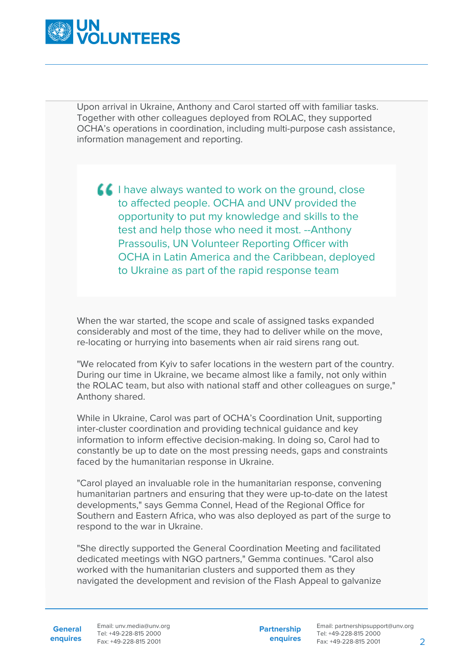

Upon arrival in Ukraine, Anthony and Carol started off with familiar tasks. Together with other colleagues deployed from ROLAC, they supported OCHA's operations in coordination, including multi-purpose cash assistance, information management and reporting.

**I fell have always wanted to work on the ground, close** to affected people. OCHA and UNV provided the opportunity to put my knowledge and skills to the test and help those who need it most. --Anthony Prassoulis, UN Volunteer Reporting Officer with OCHA in Latin America and the Caribbean, deployed to Ukraine as part of the rapid response team

When the war started, the scope and scale of assigned tasks expanded considerably and most of the time, they had to deliver while on the move, re-locating or hurrying into basements when air raid sirens rang out.

"We relocated from Kyiv to safer locations in the western part of the country. During our time in Ukraine, we became almost like a family, not only within the ROLAC team, but also with national staff and other colleagues on surge," Anthony shared.

While in Ukraine, Carol was part of OCHA's Coordination Unit, supporting inter-cluster coordination and providing technical guidance and key information to inform effective decision-making. In doing so, Carol had to constantly be up to date on the most pressing needs, gaps and constraints faced by the humanitarian response in Ukraine.

"Carol played an invaluable role in the humanitarian response, convening humanitarian partners and ensuring that they were up-to-date on the latest developments," says Gemma Connel, Head of the Regional Office for Southern and Eastern Africa, who was also deployed as part of the surge to respond to the war in Ukraine.

"She directly supported the General Coordination Meeting and facilitated dedicated meetings with NGO partners," Gemma continues. "Carol also worked with the humanitarian clusters and supported them as they navigated the development and revision of the Flash Appeal to galvanize

**enquires** Fax: +49-228-815 2001 Email: unv.media@unv.org Tel: +49-228-815 2000

**Partnership enquires**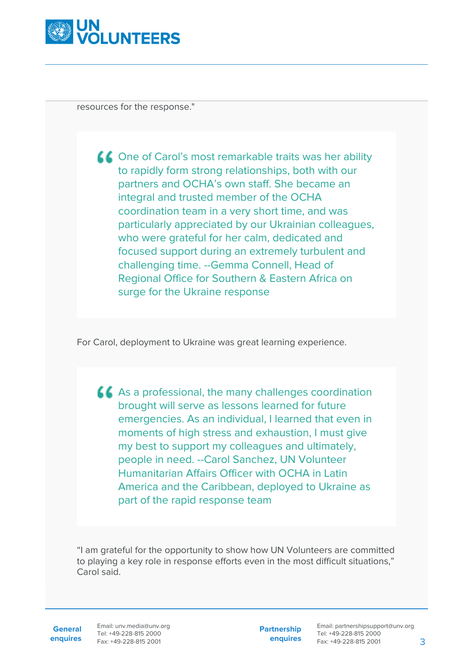

resources for the response."

▲ One of Carol's most remarkable traits was her ability to rapidly form strong relationships, both with our partners and OCHA's own staff. She became an integral and trusted member of the OCHA coordination team in a very short time, and was particularly appreciated by our Ukrainian colleagues, who were grateful for her calm, dedicated and focused support during an extremely turbulent and challenging time. --Gemma Connell, Head of Regional Office for Southern & Eastern Africa on surge for the Ukraine response

For Carol, deployment to Ukraine was great learning experience.

As a professional, the many challenges coordination brought will serve as lessons learned for future emergencies. As an individual, I learned that even in moments of high stress and exhaustion, I must give my best to support my colleagues and ultimately, people in need. --Carol Sanchez, UN Volunteer Humanitarian Affairs Officer with OCHA in Latin America and the Caribbean, deployed to Ukraine as part of the rapid response team

"I am grateful for the opportunity to show how UN Volunteers are committed to playing a key role in response efforts even in the most difficult situations," Carol said.

**General**

**enquires** Fax: +49-228-815 2001 Email: unv.media@unv.org Tel: +49-228-815 2000

**Partnership enquires**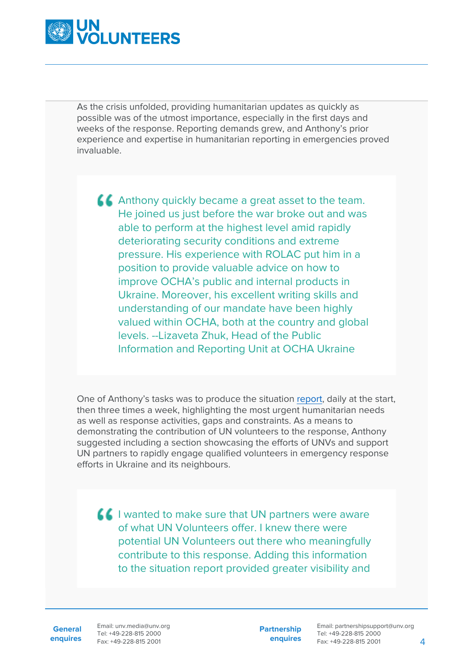

As the crisis unfolded, providing humanitarian updates as quickly as possible was of the utmost importance, especially in the first days and weeks of the response. Reporting demands grew, and Anthony's prior experience and expertise in humanitarian reporting in emergencies proved invaluable.

Anthony quickly became a great asset to the team. He joined us just before the war broke out and was able to perform at the highest level amid rapidly deteriorating security conditions and extreme pressure. His experience with ROLAC put him in a position to provide valuable advice on how to improve OCHA's public and internal products in Ukraine. Moreover, his excellent writing skills and understanding of our mandate have been highly valued within OCHA, both at the country and global levels. --Lizaveta Zhuk, Head of the Public Information and Reporting Unit at OCHA Ukraine

One of Anthony's tasks was to produce the situation [report](https://reports.unocha.org/en/country/ukraine), daily at the start, then three times a week, highlighting the most urgent humanitarian needs as well as response activities, gaps and constraints. As a means to demonstrating the contribution of UN volunteers to the response, Anthony suggested including a section showcasing the efforts of UNVs and support UN partners to rapidly engage qualified volunteers in emergency response efforts in Ukraine and its neighbours.

 $\blacksquare$  I wanted to make sure that UN partners were aware of what UN Volunteers offer. I knew there were potential UN Volunteers out there who meaningfully contribute to this response. Adding this information to the situation report provided greater visibility and

**General enquires**

Email: unv.media@unv.org Tel: +49-228-815 2000 Fax: +49-228-815 2001

**Partnership enquires**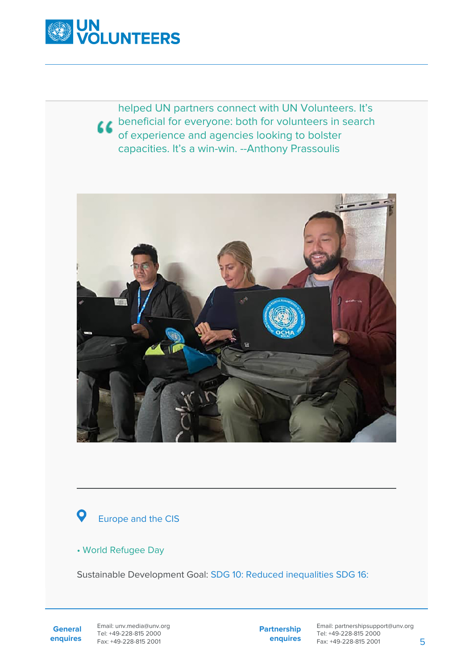

helped UN partners connect with UN Volunteers. It's *L* beneficial for everyone: both for volunteers in search of experience and agencies looking to bolster capacities. It's a win-win. --Anthony Prassoulis





## • World Refugee Day

Sustainable Development Goal: SDG 10: Reduced inequalities SDG 16:

**General enquires** Email: unv.media@unv.org Tel: +49-228-815 2000 Fax: +49-228-815 2001

**Partnership enquires**